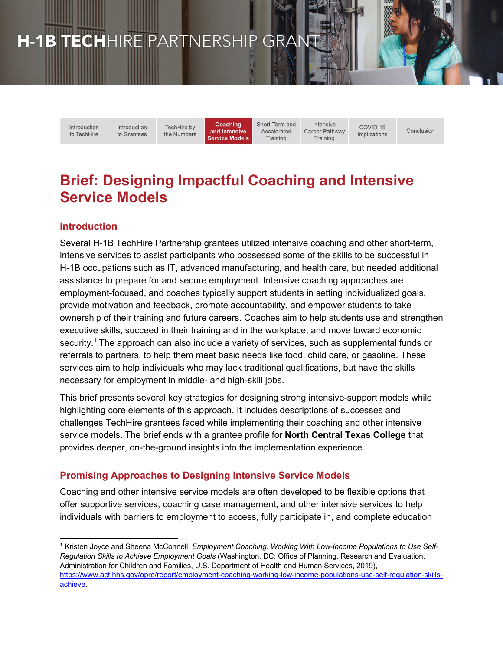# H-1B TECHHIRE PARTNERSHIP GRANT

Introduction to TechHire Introduction TechHire by to Grantees the Numbers

Coaching and Intensive **Service Models**  Short-Term and Accelerated Training

Intensive Career Pathway Training

Conclusion

COVID-19

Implications

# **Brief: Designing Impactful Coaching and Intensive Service Models**

### **Introduction**

Several H-1B TechHire Partnership grantees utilized intensive coaching and other short-term, intensive services to assist participants who possessed some of the skills to be successful in H-1B occupations such as IT, advanced manufacturing, and health care, but needed additional assistance to prepare for and secure employment. Intensive coaching approaches are employment-focused, and coaches typically support students in setting individualized goals, provide motivation and feedback, promote accountability, and empower students to take ownership of their training and future careers. Coaches aim to help students use and strengthen executive skills, succeed in their training and in the workplace, and move toward economic security.<sup>1</sup> The approach can also include a variety of services, such as supplemental funds or referrals to partners, to help them meet basic needs like food, child care, or gasoline. These services aim to help individuals who may lack traditional qualifications, but have the skills necessary for employment in middle- and high-skill jobs.

This brief presents several key strategies for designing strong intensive-support models while highlighting core elements of this approach. It includes descriptions of successes and challenges TechHire grantees faced while implementing their coaching and other intensive service models. The brief ends with a grantee profile for **North Central Texas College** that provides deeper, on-the-ground insights into the implementation experience.

### **Promising Approaches to Designing Intensive Service Models**

Coaching and other intensive service models are often developed to be flexible options that offer supportive services, coaching case management, and other intensive services to help individuals with barriers to employment to access, fully participate in, and complete education

<sup>1</sup> Kristen Joyce and Sheena McConnell, *Employment Coaching: Working With Low-Income Populations to Use Self-Regulation Skills to Achieve Employment Goals* (Washington, DC: Office of Planning, Research and Evaluation, Administration for Children and Families, U.S. Department of Health and Human Services, 2019), https://www.acf.hhs.gov/opre/report/employment-coaching-working-low-income-populations-use-self-regulation-skillsachieve.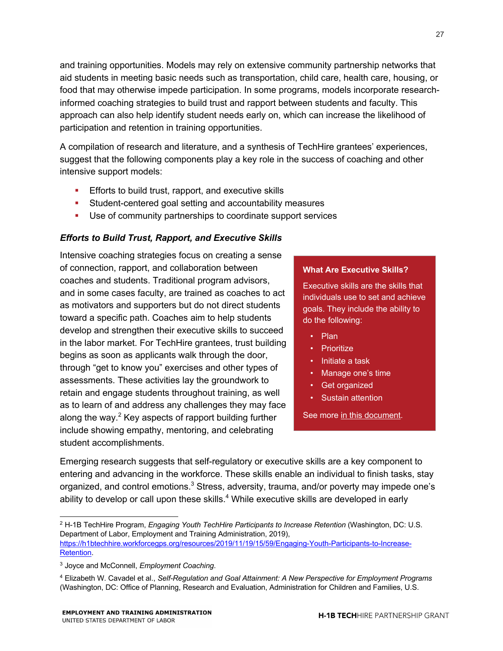and training opportunities. Models may rely on extensive community partnership networks that aid students in meeting basic needs such as transportation, child care, health care, housing, or food that may otherwise impede participation. In some programs, models incorporate researchinformed coaching strategies to build trust and rapport between students and faculty. This approach can also help identify student needs early on, which can increase the likelihood of participation and retention in training opportunities.

A compilation of research and literature, and a synthesis of TechHire grantees' experiences, suggest that the following components play a key role in the success of coaching and other intensive support models:

- **Efforts to build trust, rapport, and executive skills**
- Student-centered goal setting and accountability measures
- Use of community partnerships to coordinate support services

### *Efforts to Build Trust, Rapport, and Executive Skills*

Intensive coaching strategies focus on creating a sense of connection, rapport, and collaboration between coaches and students. Traditional program advisors, and in some cases faculty, are trained as coaches to act as motivators and supporters but do not direct students toward a specific path. Coaches aim to help students develop and strengthen their executive skills to succeed in the labor market. For TechHire grantees, trust building begins as soon as applicants walk through the door, through "get to know you" exercises and other types of assessments. These activities lay the groundwork to retain and engage students throughout training, as well as to learn of and address any challenges they may face along the way.<sup>2</sup> Key aspects of rapport building further include showing empathy, mentoring, and celebrating student accomplishments.

### **What Are Executive Skills?**

Executive skills are the skills that individuals use to set and achieve goals. They include the ability to do the following:

- Plan
- Prioritize
- Initiate a task
- Manage one's time
- Get organized
- Sustain attention

See more in this document.

Emerging research suggests that self-regulatory or executive skills are a key component to entering and advancing in the workforce. These skills enable an individual to finish tasks, stay organized, and control emotions.<sup>3</sup> Stress, adversity, trauma, and/or poverty may impede one's ability to develop or call upon these skills.<sup>4</sup> While executive skills are developed in early

<sup>2</sup> H-1B TechHire Program, *Engaging Youth TechHire Participants to Increase Retention* (Washington, DC: U.S. Department of Labor, Employment and Training Administration, 2019), https://h1btechhire.workforcegps.org/resources/2019/11/19/15/59/Engaging-Youth-Participants-to-Increase-Retention.

<sup>3</sup> Joyce and McConnell, *Employment Coaching*.

<sup>4</sup> Elizabeth W. Cavadel et al., *Self-Regulation and Goal Attainment: A New Perspective for Employment Programs* (Washington, DC: Office of Planning, Research and Evaluation, Administration for Children and Families, U.S.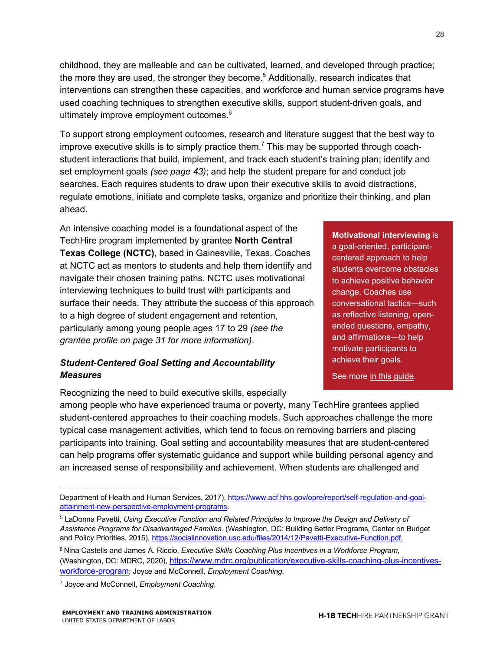childhood, they are malleable and can be cultivated, learned, and developed through practice; the more they are used, the stronger they become. <sup>5</sup> Additionally, research indicates that interventions can strengthen these capacities, and workforce and human service programs have used coaching techniques to strengthen executive skills, support student-driven goals, and ultimately improve employment outcomes.<sup>6</sup>

To support strong employment outcomes, research and literature suggest that the best way to improve executive skills is to simply practice them.<sup>7</sup> This may be supported through coachstudent interactions that build, implement, and track each student's training plan; identify and set employment goals *(see page 43)*; and help the student prepare for and conduct job searches. Each requires students to draw upon their executive skills to avoid distractions, regulate emotions, initiate and complete tasks, organize and prioritize their thinking, and plan ahead.

An intensive coaching model is a foundational aspect of the TechHire program implemented by grantee **North Central Texas College (NCTC)**, based in Gainesville, Texas. Coaches at NCTC act as mentors to students and help them identify and navigate their chosen training paths. NCTC uses motivational interviewing techniques to build trust with participants and surface their needs. They attribute the success of this approach to a high degree of student engagement and retention, particularly among young people ages 17 to 29 *(see the grantee profile on page 31 for more information)*.

### *Student-Centered Goal Setting and Accountability Measures*

Recognizing the need to build executive skills, especially

**Motivational interviewing** is a goal-oriented, participantcentered approach to help students overcome obstacles to achieve positive behavior change. Coaches use conversational tactics—such as reflective listening, openended questions, empathy, and affirmations—to help motivate participants to achieve their goals.

See more in this guide.

among people who have experienced trauma or poverty, many TechHire grantees applied student-centered approaches to their coaching models. Such approaches challenge the more typical case management activities, which tend to focus on removing barriers and placing participants into training. Goal setting and accountability measures that are student-centered can help programs offer systematic guidance and support while building personal agency and an increased sense of responsibility and achievement. When students are challenged and

Department of Health and Human Services, 2017), https://www.acf.hhs.gov/opre/report/self-regulation-and-goalattainment-new-perspective-employment-programs.

<sup>5</sup> LaDonna Pavetti, *Using Executive Function and Related Principles to Improve the Design and Delivery of Assistance Programs for Disadvantaged Families.* (Washington, DC: Building Better Programs*,* Center on Budget and Policy Priorities, 2015), https://socialinnovation.usc.edu/files/2014/12/Pavetti-Executive-Function.pdf.

<sup>6</sup> Nina Castells and James A. Riccio, *Executive Skills Coaching Plus Incentives in a Workforce Program*, (Washington, DC: MDRC, 2020), https://www.mdrc.org/publication/executive-skills-coaching-plus-incentivesworkforce-program; Joyce and McConnell, *Employment Coaching*.

<sup>7</sup> Joyce and McConnell, *Employment Coaching*.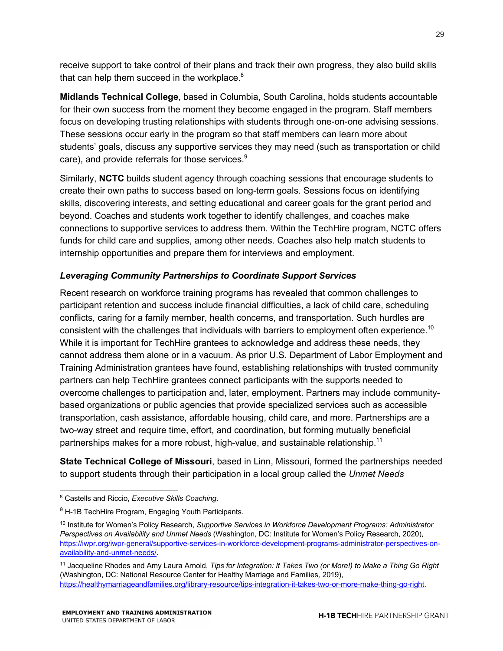receive support to take control of their plans and track their own progress, they also build skills that can help them succeed in the workplace. $8$ 

**Midlands Technical College**, based in Columbia, South Carolina, holds students accountable for their own success from the moment they become engaged in the program. Staff members focus on developing trusting relationships with students through one-on-one advising sessions. These sessions occur early in the program so that staff members can learn more about students' goals, discuss any supportive services they may need (such as transportation or child care), and provide referrals for those services.<sup>9</sup>

Similarly, **NCTC** builds student agency through coaching sessions that encourage students to create their own paths to success based on long-term goals. Sessions focus on identifying skills, discovering interests, and setting educational and career goals for the grant period and beyond. Coaches and students work together to identify challenges, and coaches make connections to supportive services to address them. Within the TechHire program, NCTC offers funds for child care and supplies, among other needs. Coaches also help match students to internship opportunities and prepare them for interviews and employment*.*

### *Leveraging Community Partnerships to Coordinate Support Services*

Recent research on workforce training programs has revealed that common challenges to participant retention and success include financial difficulties, a lack of child care, scheduling conflicts, caring for a family member, health concerns, and transportation. Such hurdles are consistent with the challenges that individuals with barriers to employment often experience.<sup>10</sup> While it is important for TechHire grantees to acknowledge and address these needs, they cannot address them alone or in a vacuum. As prior U.S. Department of Labor Employment and Training Administration grantees have found, establishing relationships with trusted community partners can help TechHire grantees connect participants with the supports needed to overcome challenges to participation and, later, employment. Partners may include communitybased organizations or public agencies that provide specialized services such as accessible transportation, cash assistance, affordable housing, child care, and more. Partnerships are a two-way street and require time, effort, and coordination, but forming mutually beneficial partnerships makes for a more robust, high-value, and sustainable relationship.<sup>11</sup>

**State Technical College of Missouri**, based in Linn, Missouri, formed the partnerships needed to support students through their participation in a local group called the *Unmet Needs* 

<sup>8</sup> Castells and Riccio, *Executive Skills Coaching*.

<sup>&</sup>lt;sup>9</sup> H-1B TechHire Program, Engaging Youth Participants.

<sup>10</sup> Institute for Women's Policy Research, *Supportive Services in Workforce Development Programs: Administrator Perspectives on Availability and Unmet Needs* (Washington, DC: Institute for Women's Policy Research, 2020), https://iwpr.org/iwpr-general/supportive-services-in-workforce-development-programs-administrator-perspectives-onavailability-and-unmet-needs/.

<sup>11</sup> Jacqueline Rhodes and Amy Laura Arnold, *Tips for Integration: It Takes Two (or More!) to Make a Thing Go Right*  (Washington, DC: National Resource Center for Healthy Marriage and Families*,* 2019), https://healthymarriageandfamilies.org/library-resource/tips-integration-it-takes-two-or-more-make-thing-go-right.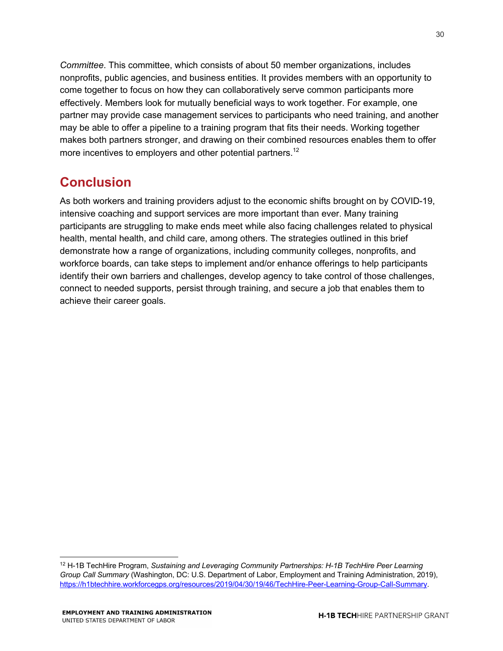*Committee*. This committee, which consists of about 50 member organizations, includes nonprofits, public agencies, and business entities. It provides members with an opportunity to come together to focus on how they can collaboratively serve common participants more effectively. Members look for mutually beneficial ways to work together. For example, one partner may provide case management services to participants who need training, and another may be able to offer a pipeline to a training program that fits their needs. Working together makes both partners stronger, and drawing on their combined resources enables them to offer more incentives to employers and other potential partners.<sup>12</sup>

## **Conclusion**

As both workers and training providers adjust to the economic shifts brought on by COVID-19, intensive coaching and support services are more important than ever. Many training participants are struggling to make ends meet while also facing challenges related to physical health, mental health, and child care, among others. The strategies outlined in this brief demonstrate how a range of organizations, including community colleges, nonprofits, and workforce boards, can take steps to implement and/or enhance offerings to help participants identify their own barriers and challenges, develop agency to take control of those challenges, connect to needed supports, persist through training, and secure a job that enables them to achieve their career goals.

<sup>12</sup> H-1B TechHire Program, *Sustaining and Leveraging Community Partnerships: H-1B TechHire Peer Learning Group Call Summary* (Washington, DC: U.S. Department of Labor, Employment and Training Administration, 2019), https://h1btechhire.workforcegps.org/resources/2019/04/30/19/46/TechHire-Peer-Learning-Group-Call-Summary.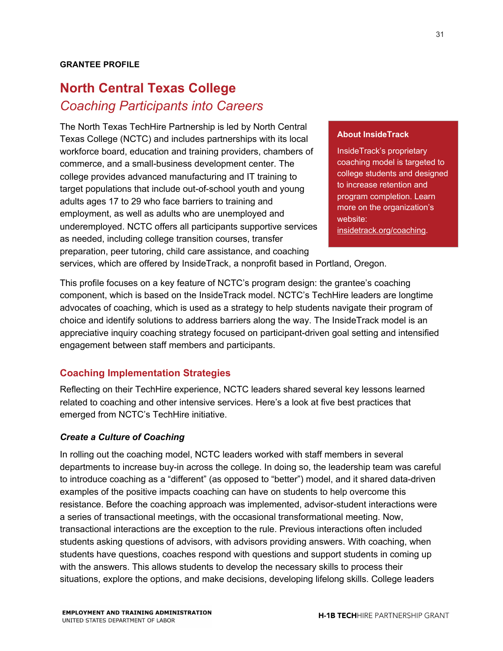### **GRANTEE PROFILE**

# **North Central Texas College** *Coaching Participants into Careers*

The North Texas TechHire Partnership is led by North Central Texas College (NCTC) and includes partnerships with its local workforce board, education and training providers, chambers of commerce, and a small-business development center. The college provides advanced manufacturing and IT training to target populations that include out-of-school youth and young adults ages 17 to 29 who face barriers to training and employment, as well as adults who are unemployed and underemployed. NCTC offers all participants supportive services as needed, including college transition courses, transfer preparation, peer tutoring, child care assistance, and coaching

#### **About InsideTrack**

InsideTrack's proprietary coaching model is targeted to college students and designed to increase retention and program completion. Learn more on the organization's website: insidetrack.org/coaching.

services, which are offered by InsideTrack, a nonprofit based in Portland, Oregon.

This profile focuses on a key feature of NCTC's program design: the grantee's coaching component, which is based on the InsideTrack model. NCTC's TechHire leaders are longtime advocates of coaching, which is used as a strategy to help students navigate their program of choice and identify solutions to address barriers along the way. The InsideTrack model is an appreciative inquiry coaching strategy focused on participant-driven goal setting and intensified engagement between staff members and participants.

### **Coaching Implementation Strategies**

Reflecting on their TechHire experience, NCTC leaders shared several key lessons learned related to coaching and other intensive services. Here's a look at five best practices that emerged from NCTC's TechHire initiative.

#### *Create a Culture of Coaching*

In rolling out the coaching model, NCTC leaders worked with staff members in several departments to increase buy-in across the college. In doing so, the leadership team was careful to introduce coaching as a "different" (as opposed to "better") model, and it shared data-driven examples of the positive impacts coaching can have on students to help overcome this resistance. Before the coaching approach was implemented, advisor-student interactions were a series of transactional meetings, with the occasional transformational meeting. Now, transactional interactions are the exception to the rule. Previous interactions often included students asking questions of advisors, with advisors providing answers. With coaching, when students have questions, coaches respond with questions and support students in coming up with the answers. This allows students to develop the necessary skills to process their situations, explore the options, and make decisions, developing lifelong skills. College leaders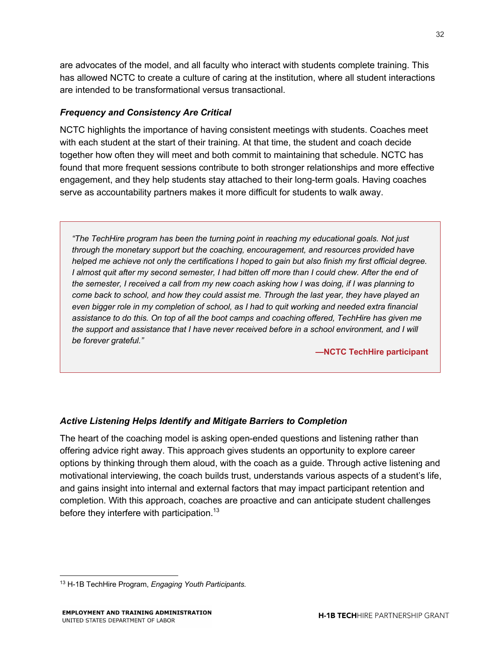are advocates of the model, and all faculty who interact with students complete training. This has allowed NCTC to create a culture of caring at the institution, where all student interactions are intended to be transformational versus transactional.

### *Frequency and Consistency Are Critical*

NCTC highlights the importance of having consistent meetings with students. Coaches meet with each student at the start of their training. At that time, the student and coach decide together how often they will meet and both commit to maintaining that schedule. NCTC has found that more frequent sessions contribute to both stronger relationships and more effective engagement, and they help students stay attached to their long-term goals. Having coaches serve as accountability partners makes it more difficult for students to walk away.

*"The TechHire program has been the turning point in reaching my educational goals. Not just through the monetary support but the coaching, encouragement, and resources provided have helped me achieve not only the certifications I hoped to gain but also finish my first official degree. I almost quit after my second semester, I had bitten off more than I could chew. After the end of the semester, I received a call from my new coach asking how I was doing, if I was planning to come back to school, and how they could assist me. Through the last year, they have played an even bigger role in my completion of school, as I had to quit working and needed extra financial assistance to do this. On top of all the boot camps and coaching offered, TechHire has given me*  the support and assistance that I have never received before in a school environment, and I will *be forever grateful."* 

**—NCTC TechHire participant**

### *Active Listening Helps Identify and Mitigate Barriers to Completion*

The heart of the coaching model is asking open-ended questions and listening rather than offering advice right away. This approach gives students an opportunity to explore career options by thinking through them aloud, with the coach as a guide. Through active listening and motivational interviewing, the coach builds trust, understands various aspects of a student's life, and gains insight into internal and external factors that may impact participant retention and completion. With this approach, coaches are proactive and can anticipate student challenges before they interfere with participation.<sup>13</sup>

<sup>13</sup> H-1B TechHire Program, *Engaging Youth Participants.*